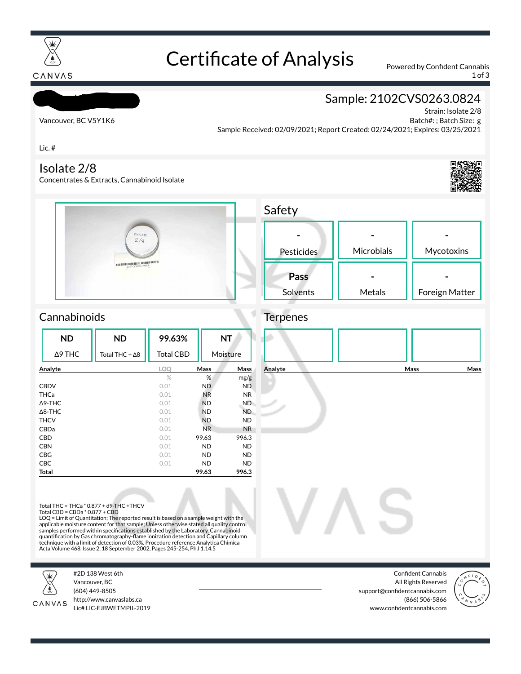

# Certificate of Analysis Powered by Confident Cannabis

1 of 3

Strain: Isolate 2/8

**- Mycotoxins** 

**-** Foreign Matter

#### CANVAS

## Sample: 2102CVS0263.0824

Vancouver, BC V5Y1K6

Honest Botanicals

Batch#: ; Batch Size: g Sample Received: 02/09/2021; Report Created: 02/24/2021; Expires: 03/25/2021

Lic. #

#### Isolate 2/8

Concentrates & Extracts, Cannabinoid Isolate





### **Cannabinoids**

|                   | <b>ND</b>      | <b>ND</b>              | 99.63%           |                        | <b>NT</b> |  |
|-------------------|----------------|------------------------|------------------|------------------------|-----------|--|
|                   | $\Delta$ 9 THC | Total THC + $\Delta$ 8 | <b>Total CBD</b> |                        | Moisture  |  |
| Analyte           |                | LOO                    | Mass<br>Mass     |                        |           |  |
|                   |                |                        | $\%$             | %                      | mg/g      |  |
| <b>CBDV</b>       |                |                        | 0.01             | <b>ND</b>              | <b>ND</b> |  |
| THCa              |                |                        | 0.01             | <b>NR</b>              | <b>NR</b> |  |
| $\triangle$ 9-THC |                |                        | 0.01             | <b>ND</b>              | ND.       |  |
| $\triangle$ 8-THC |                |                        | 0.01             | <b>ND</b>              | ND.       |  |
| <b>THCV</b>       |                |                        | 0.01             | <b>ND</b>              | <b>ND</b> |  |
| CBDa              |                |                        | 0.01             | N <sub>R</sub>         | <b>NR</b> |  |
| <b>CBD</b>        |                |                        | 0.01             | 99.63                  | 996.3     |  |
| <b>CBN</b>        |                |                        | 0.01             | <b>ND</b>              | <b>ND</b> |  |
| CBG               |                |                        | 0.01             | <b>ND</b>              | <b>ND</b> |  |
|                   | <b>CBC</b>     |                        | 0.01             | <b>ND</b><br><b>ND</b> |           |  |
|                   | Total          |                        | 99.63            | 996.3                  |           |  |



**-**

**-**

Total THC = THCa \* 0.877 + d9-THC +THCV Total CBD = CBDa \* 0.877 + CBD

LOQ = Limit of Quantitation; The reported result is based on a sample weight with the applicable moisture content for that sample; Unless otherwise stated all quality control<br>samples performed within specifications established by the Laboratory. Cannabinoid quantification by Gas chromatography-flame ionization detection and Capillary column<br>technique with a limit of detection of 0.03%. Procedure reference Analytica Chimica Acta Volume 468, Issue 2, 18 September 2002, Pages 245-254, Ph.I 1.14.5



#2D 138 West 6th Vancouver, BC (604) 449-8505



http://www.canvaslabs.ca Lic# LIC-EJBWETMPIL-2019

Confident Cannabis All Rights Reserved support@confidentcannabis.com (866) 506-5866 www.confidentcannabis.com

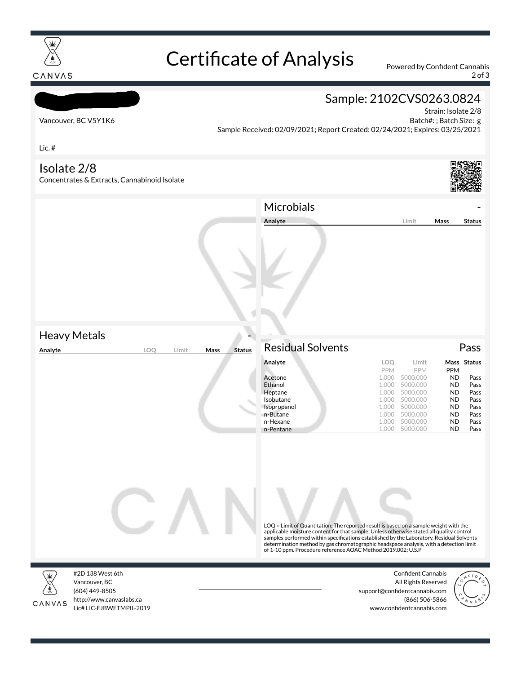

# Certificate of Analysis Powered by Confident Cannabis

2 of 3

## Honest Botanicals Vancouver, BC V5Y1K6 Lic. # Sample: 2102CVS0263.0824 Strain: Isolate 2/8 Batch#: ; Batch Size: g Sample Received: 02/09/2021; Report Created: 02/24/2021; Expires: 03/25/2021 Isolate 2/8 Concentrates & Extracts, Cannabinoid Isolate **Heavy Metals Analyte LOQ Limit Mass Status Microbials Analyte Limit Mass Status** Residual Solvents Pass **Analyte LOQ Limit Mass Status** PPM PPM PPM<br>1.000 5000.000 ND Acetone 1.000 5000.000 ND Pass Ethanol 1.000 5000.000 ND Pass **Heptane 1.000 5000.000 ND Pass Isobutane 1.000 5000.000 ND Pass**<br>**Isopropanol** 1.000 5000.000 **ND Pass** Isopropanol n-Butane 1.000 5000.000 **ND** Pass n-Hexane 1.000 5000.000 **ND** Pass n-Pentane 1.000 5000.000 ND Pass LOQ = Limit of Quantitation; The reported result is based on a sample weight with the applicable moisture content for that sample; Unless otherwise stated all quality control<br>samples performed within specifications established by the Laboratory. Residual Solvents<br>determination method by gas chromatographic of 1-10 ppm. Procedure reference AOAC Method 2019.002; U.S.P #2D 138 West 6th Confident Cannabis



CANVAS

Vancouver, BC (604) 449-8505 http://www.canvaslabs.ca Lic# LIC-EJBWETMPIL-2019

All Rights Reserved support@confidentcannabis.com (866) 506-5866 www.confidentcannabis.com